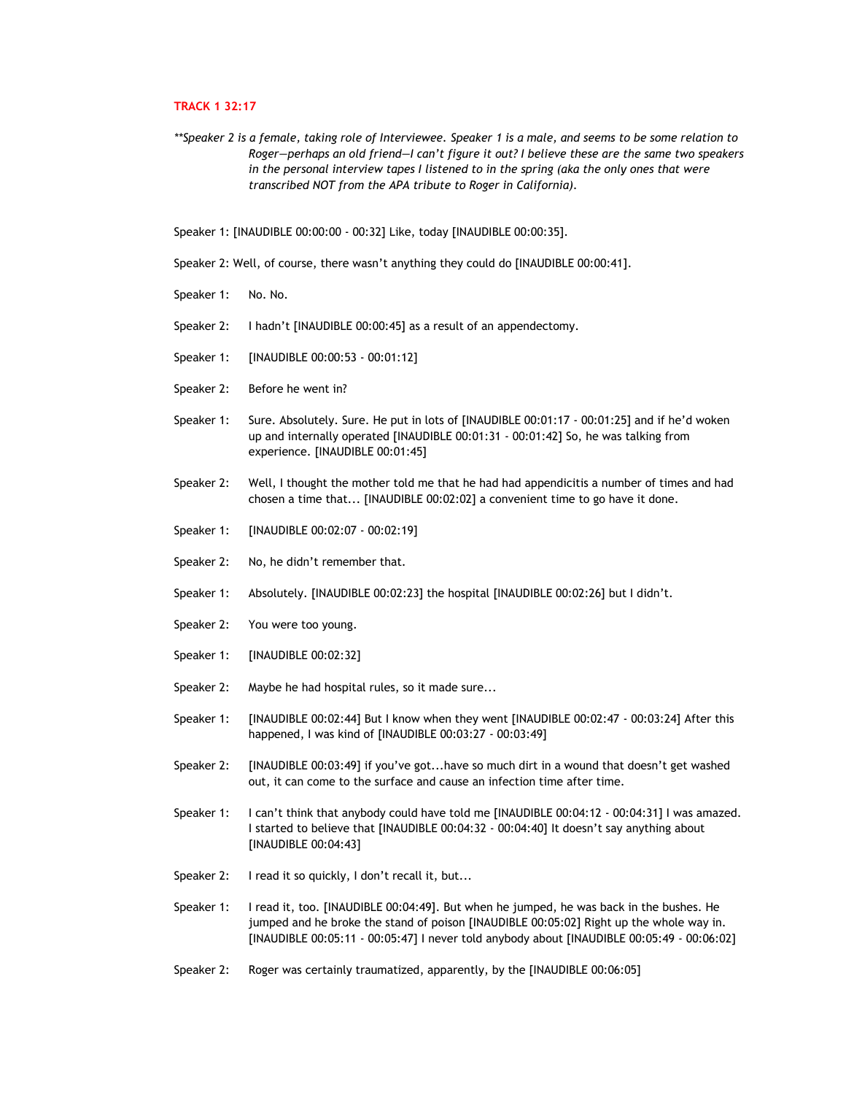## **TRACK 1 32:17**

- *\*\*Speaker 2 is a female, taking role of Interviewee. Speaker 1 is a male, and seems to be some relation to Roger—perhaps an old friend—I can't figure it out? I believe these are the same two speakers in the personal interview tapes I listened to in the spring (aka the only ones that were transcribed NOT from the APA tribute to Roger in California).*
- Speaker 1: [INAUDIBLE 00:00:00 00:32] Like, today [INAUDIBLE 00:00:35].
- Speaker 2: Well, of course, there wasn't anything they could do [INAUDIBLE 00:00:41].
- Speaker 1: No. No.
- Speaker 2: I hadn't [INAUDIBLE 00:00:45] as a result of an appendectomy.
- Speaker 1: [INAUDIBLE 00:00:53 00:01:12]
- Speaker 2: Before he went in?
- Speaker 1: Sure. Absolutely. Sure. He put in lots of [INAUDIBLE 00:01:17 00:01:25] and if he'd woken up and internally operated [INAUDIBLE 00:01:31 - 00:01:42] So, he was talking from experience. [INAUDIBLE 00:01:45]
- Speaker 2: Well, I thought the mother told me that he had had appendicitis a number of times and had chosen a time that... [INAUDIBLE 00:02:02] a convenient time to go have it done.
- Speaker 1: [INAUDIBLE 00:02:07 00:02:19]
- Speaker 2: No, he didn't remember that.
- Speaker 1: Absolutely. [INAUDIBLE 00:02:23] the hospital [INAUDIBLE 00:02:26] but I didn't.
- Speaker 2: You were too young.
- Speaker 1: [INAUDIBLE 00:02:32]
- Speaker 2: Maybe he had hospital rules, so it made sure...
- Speaker 1: [INAUDIBLE 00:02:44] But I know when they went [INAUDIBLE 00:02:47 00:03:24] After this happened, I was kind of [INAUDIBLE 00:03:27 - 00:03:49]
- Speaker 2: [INAUDIBLE 00:03:49] if you've got...have so much dirt in a wound that doesn't get washed out, it can come to the surface and cause an infection time after time.
- Speaker 1: I can't think that anybody could have told me [INAUDIBLE 00:04:12 00:04:31] I was amazed. I started to believe that [INAUDIBLE 00:04:32 - 00:04:40] It doesn't say anything about [INAUDIBLE 00:04:43]
- Speaker 2: I read it so quickly, I don't recall it, but...
- Speaker 1: I read it, too. [INAUDIBLE 00:04:49]. But when he jumped, he was back in the bushes. He jumped and he broke the stand of poison [INAUDIBLE 00:05:02] Right up the whole way in. [INAUDIBLE 00:05:11 - 00:05:47] I never told anybody about [INAUDIBLE 00:05:49 - 00:06:02]
- Speaker 2: Roger was certainly traumatized, apparently, by the [INAUDIBLE 00:06:05]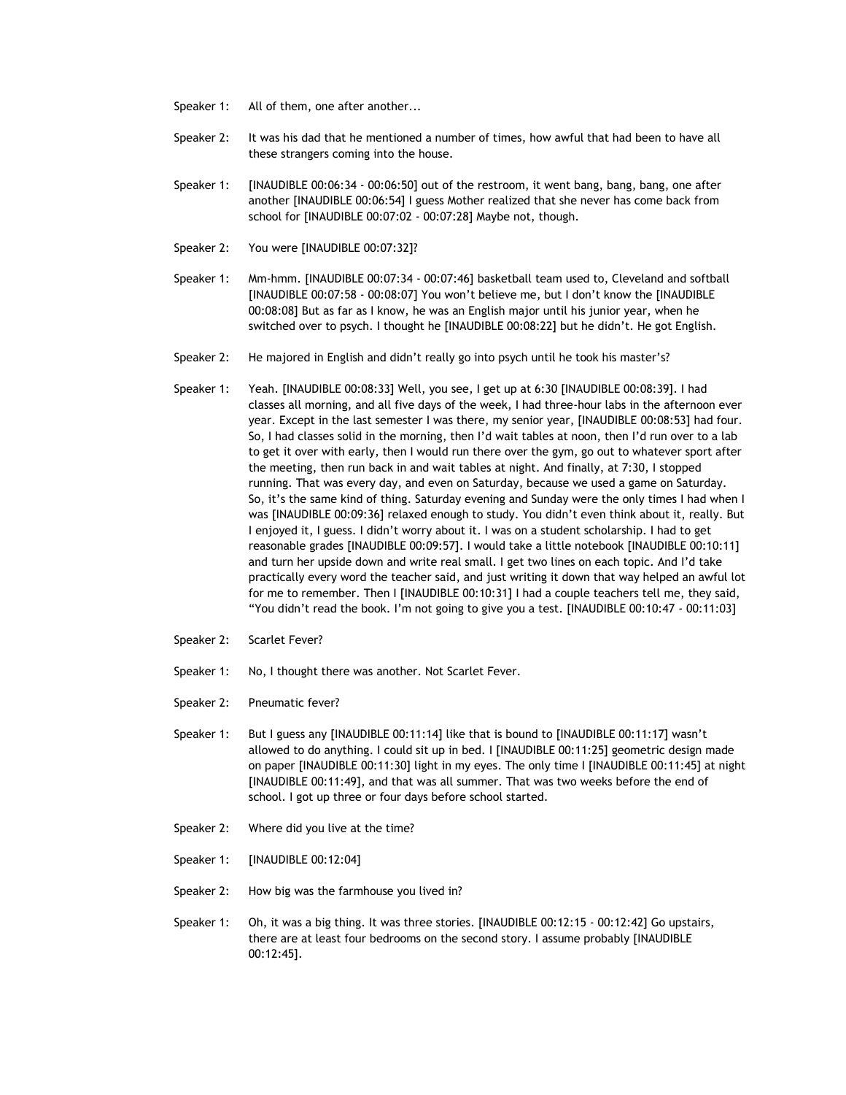- Speaker 1: All of them, one after another...
- Speaker 2: It was his dad that he mentioned a number of times, how awful that had been to have all these strangers coming into the house.
- Speaker 1: [INAUDIBLE 00:06:34 00:06:50] out of the restroom, it went bang, bang, bang, one after another [INAUDIBLE 00:06:54] I guess Mother realized that she never has come back from school for [INAUDIBLE 00:07:02 - 00:07:28] Maybe not, though.
- Speaker 2: You were [INAUDIBLE 00:07:32]?
- Speaker 1: Mm-hmm. [INAUDIBLE 00:07:34 00:07:46] basketball team used to, Cleveland and softball [INAUDIBLE 00:07:58 - 00:08:07] You won't believe me, but I don't know the [INAUDIBLE 00:08:08] But as far as I know, he was an English major until his junior year, when he switched over to psych. I thought he [INAUDIBLE 00:08:22] but he didn't. He got English.
- Speaker 2: He majored in English and didn't really go into psych until he took his master's?
- Speaker 1: Yeah. [INAUDIBLE 00:08:33] Well, you see, I get up at 6:30 [INAUDIBLE 00:08:39]. I had classes all morning, and all five days of the week, I had three-hour labs in the afternoon ever year. Except in the last semester I was there, my senior year, [INAUDIBLE 00:08:53] had four. So, I had classes solid in the morning, then I'd wait tables at noon, then I'd run over to a lab to get it over with early, then I would run there over the gym, go out to whatever sport after the meeting, then run back in and wait tables at night. And finally, at 7:30, I stopped running. That was every day, and even on Saturday, because we used a game on Saturday. So, it's the same kind of thing. Saturday evening and Sunday were the only times I had when I was [INAUDIBLE 00:09:36] relaxed enough to study. You didn't even think about it, really. But I enjoyed it, I guess. I didn't worry about it. I was on a student scholarship. I had to get reasonable grades [INAUDIBLE 00:09:57]. I would take a little notebook [INAUDIBLE 00:10:11] and turn her upside down and write real small. I get two lines on each topic. And I'd take practically every word the teacher said, and just writing it down that way helped an awful lot for me to remember. Then I [INAUDIBLE 00:10:31] I had a couple teachers tell me, they said, "You didn't read the book. I'm not going to give you a test. [INAUDIBLE 00:10:47 - 00:11:03]
- Speaker 2: Scarlet Fever?
- Speaker 1: No, I thought there was another. Not Scarlet Fever.
- Speaker 2: Pneumatic fever?
- Speaker 1: But I guess any [INAUDIBLE 00:11:14] like that is bound to [INAUDIBLE 00:11:17] wasn't allowed to do anything. I could sit up in bed. I [INAUDIBLE 00:11:25] geometric design made on paper [INAUDIBLE 00:11:30] light in my eyes. The only time I [INAUDIBLE 00:11:45] at night [INAUDIBLE 00:11:49], and that was all summer. That was two weeks before the end of school. I got up three or four days before school started.
- Speaker 2: Where did you live at the time?
- Speaker 1: [INAUDIBLE 00:12:04]
- Speaker 2: How big was the farmhouse you lived in?
- Speaker 1: Oh, it was a big thing. It was three stories. [INAUDIBLE 00:12:15 00:12:42] Go upstairs, there are at least four bedrooms on the second story. I assume probably [INAUDIBLE 00:12:45].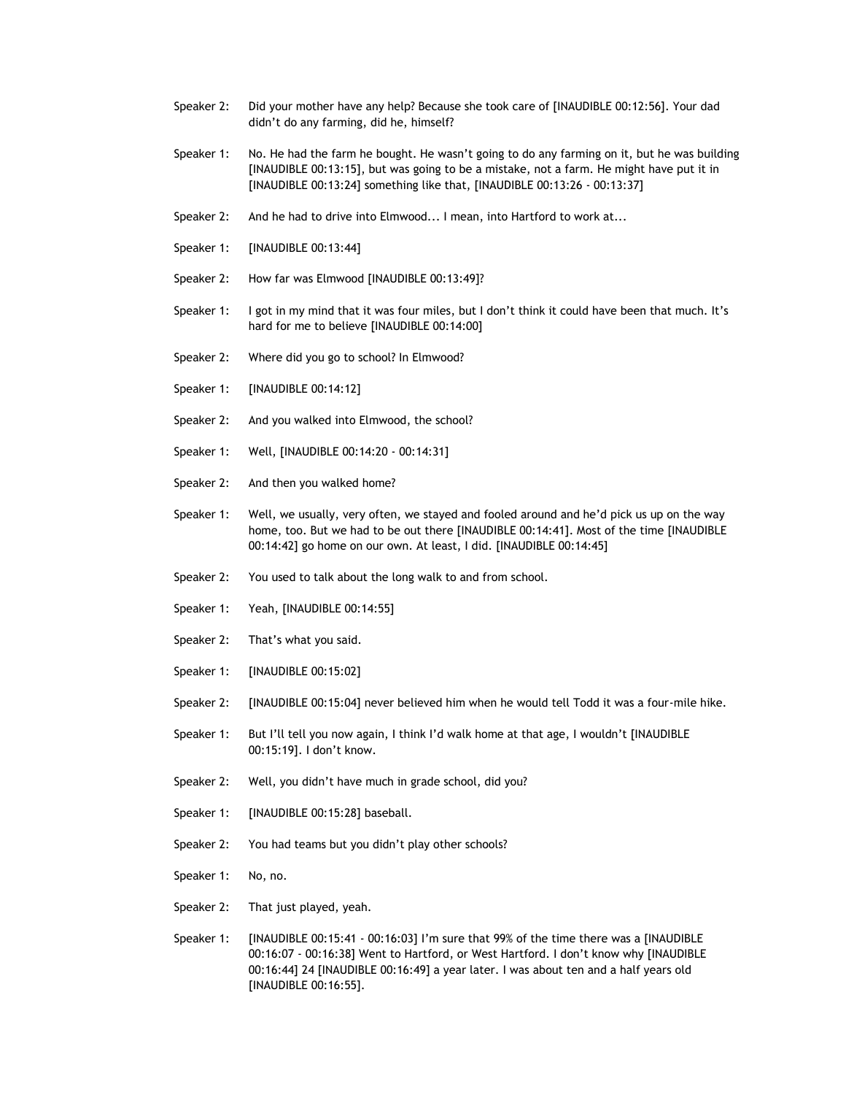- Speaker 2: Did your mother have any help? Because she took care of [INAUDIBLE 00:12:56]. Your dad didn't do any farming, did he, himself?
- Speaker 1: No. He had the farm he bought. He wasn't going to do any farming on it, but he was building [INAUDIBLE 00:13:15], but was going to be a mistake, not a farm. He might have put it in [INAUDIBLE 00:13:24] something like that, [INAUDIBLE 00:13:26 - 00:13:37]
- Speaker 2: And he had to drive into Elmwood... I mean, into Hartford to work at...
- Speaker 1: [INAUDIBLE 00:13:44]
- Speaker 2: How far was Elmwood [INAUDIBLE 00:13:49]?
- Speaker 1: I got in my mind that it was four miles, but I don't think it could have been that much. It's hard for me to believe [INAUDIBLE 00:14:00]
- Speaker 2: Where did you go to school? In Elmwood?
- Speaker 1: [INAUDIBLE 00:14:12]
- Speaker 2: And you walked into Elmwood, the school?
- Speaker 1: Well, [INAUDIBLE 00:14:20 00:14:31]
- Speaker 2: And then you walked home?
- Speaker 1: Well, we usually, very often, we stayed and fooled around and he'd pick us up on the way home, too. But we had to be out there [INAUDIBLE 00:14:41]. Most of the time [INAUDIBLE 00:14:42] go home on our own. At least, I did. [INAUDIBLE 00:14:45]
- Speaker 2: You used to talk about the long walk to and from school.
- Speaker 1: Yeah, [INAUDIBLE 00:14:55]
- Speaker 2: That's what you said.
- Speaker 1: [INAUDIBLE 00:15:02]
- Speaker 2: [INAUDIBLE 00:15:04] never believed him when he would tell Todd it was a four-mile hike.
- Speaker 1: But I'll tell you now again, I think I'd walk home at that age, I wouldn't [INAUDIBLE 00:15:19]. I don't know.
- Speaker 2: Well, you didn't have much in grade school, did you?
- Speaker 1: [INAUDIBLE 00:15:28] baseball.
- Speaker 2: You had teams but you didn't play other schools?
- Speaker 1: No, no.
- Speaker 2: That just played, yeah.
- Speaker 1: [INAUDIBLE 00:15:41 00:16:03] I'm sure that 99% of the time there was a [INAUDIBLE 00:16:07 - 00:16:38] Went to Hartford, or West Hartford. I don't know why [INAUDIBLE 00:16:44] 24 [INAUDIBLE 00:16:49] a year later. I was about ten and a half years old [INAUDIBLE 00:16:55].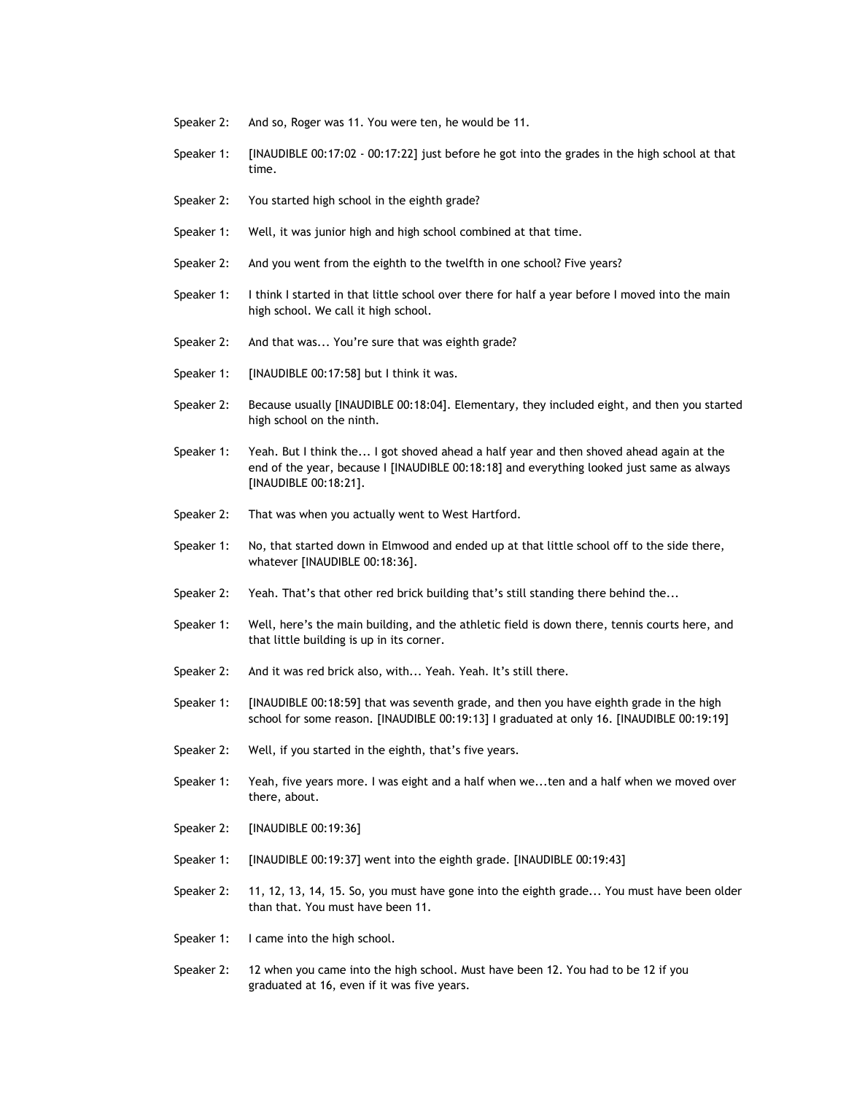- Speaker 2: And so, Roger was 11. You were ten, he would be 11.
- Speaker 1: [INAUDIBLE 00:17:02 00:17:22] just before he got into the grades in the high school at that time.
- Speaker 2: You started high school in the eighth grade?
- Speaker 1: Well, it was junior high and high school combined at that time.
- Speaker 2: And you went from the eighth to the twelfth in one school? Five years?
- Speaker 1: I think I started in that little school over there for half a year before I moved into the main high school. We call it high school.
- Speaker 2: And that was... You're sure that was eighth grade?
- Speaker 1: [INAUDIBLE 00:17:58] but I think it was.
- Speaker 2: Because usually [INAUDIBLE 00:18:04]. Elementary, they included eight, and then you started high school on the ninth.
- Speaker 1: Yeah. But I think the... I got shoved ahead a half year and then shoved ahead again at the end of the year, because I [INAUDIBLE 00:18:18] and everything looked just same as always [INAUDIBLE 00:18:21].
- Speaker 2: That was when you actually went to West Hartford.
- Speaker 1: No, that started down in Elmwood and ended up at that little school off to the side there, whatever [INAUDIBLE 00:18:36].
- Speaker 2: Yeah. That's that other red brick building that's still standing there behind the...
- Speaker 1: Well, here's the main building, and the athletic field is down there, tennis courts here, and that little building is up in its corner.
- Speaker 2: And it was red brick also, with... Yeah. Yeah. It's still there.
- Speaker 1: [INAUDIBLE 00:18:59] that was seventh grade, and then you have eighth grade in the high school for some reason. [INAUDIBLE 00:19:13] I graduated at only 16. [INAUDIBLE 00:19:19]
- Speaker 2: Well, if you started in the eighth, that's five years.
- Speaker 1: Yeah, five years more. I was eight and a half when we...ten and a half when we moved over there, about.
- Speaker 2: [INAUDIBLE 00:19:36]
- Speaker 1: [INAUDIBLE 00:19:37] went into the eighth grade. [INAUDIBLE 00:19:43]
- Speaker 2: 11, 12, 13, 14, 15. So, you must have gone into the eighth grade... You must have been older than that. You must have been 11.
- Speaker 1: I came into the high school.
- Speaker 2: 12 when you came into the high school. Must have been 12. You had to be 12 if you graduated at 16, even if it was five years.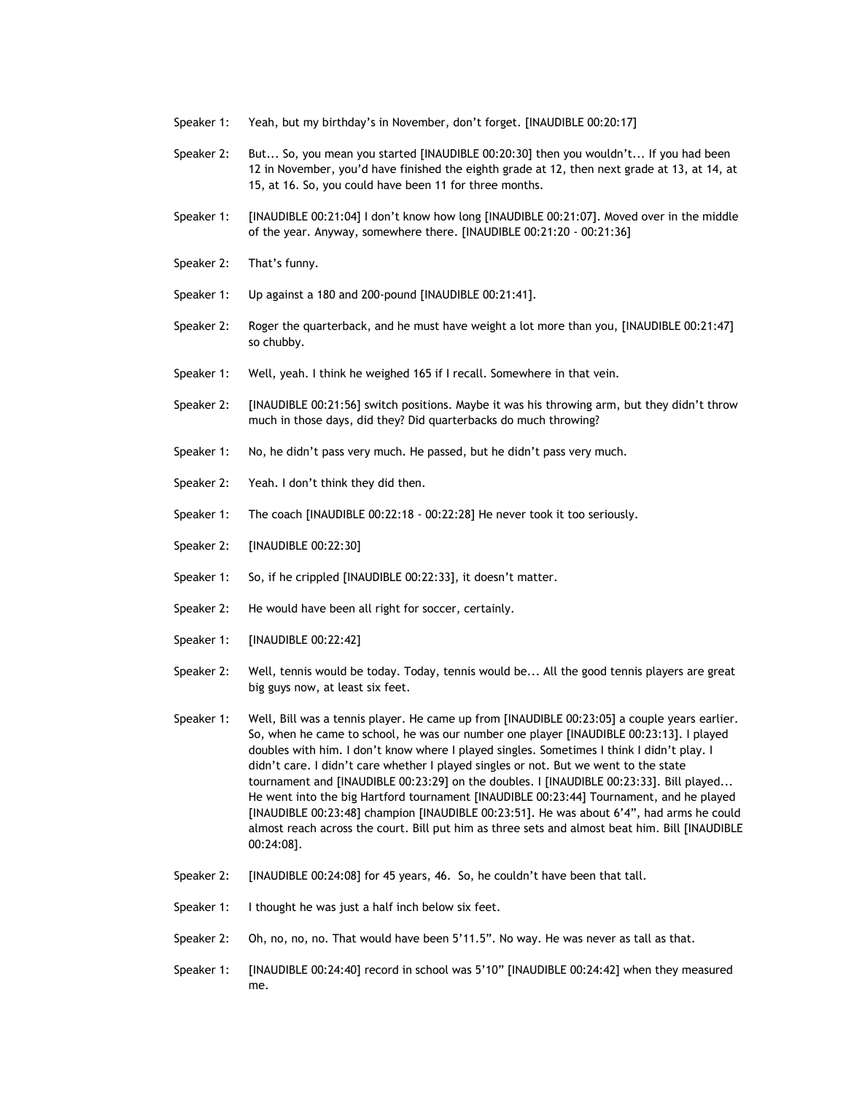- Speaker 1: Yeah, but my birthday's in November, don't forget. [INAUDIBLE 00:20:17]
- Speaker 2: But... So, you mean you started [INAUDIBLE 00:20:30] then you wouldn't... If you had been 12 in November, you'd have finished the eighth grade at 12, then next grade at 13, at 14, at 15, at 16. So, you could have been 11 for three months.
- Speaker 1: [INAUDIBLE 00:21:04] I don't know how long [INAUDIBLE 00:21:07]. Moved over in the middle of the year. Anyway, somewhere there. [INAUDIBLE 00:21:20 - 00:21:36]
- Speaker 2: That's funny.
- Speaker 1: Up against a 180 and 200-pound [INAUDIBLE 00:21:41].
- Speaker 2: Roger the quarterback, and he must have weight a lot more than you, [INAUDIBLE 00:21:47] so chubby.
- Speaker 1: Well, yeah. I think he weighed 165 if I recall. Somewhere in that vein.
- Speaker 2: [INAUDIBLE 00:21:56] switch positions. Maybe it was his throwing arm, but they didn't throw much in those days, did they? Did quarterbacks do much throwing?
- Speaker 1: No, he didn't pass very much. He passed, but he didn't pass very much.
- Speaker 2: Yeah. I don't think they did then.
- Speaker 1: The coach [INAUDIBLE 00:22:18 00:22:28] He never took it too seriously.
- Speaker 2: [INAUDIBLE 00:22:30]
- Speaker 1: So, if he crippled [INAUDIBLE 00:22:33], it doesn't matter.
- Speaker 2: He would have been all right for soccer, certainly.
- Speaker 1: [INAUDIBLE 00:22:42]
- Speaker 2: Well, tennis would be today. Today, tennis would be... All the good tennis players are great big guys now, at least six feet.
- Speaker 1: Well, Bill was a tennis player. He came up from [INAUDIBLE 00:23:05] a couple years earlier. So, when he came to school, he was our number one player [INAUDIBLE 00:23:13]. I played doubles with him. I don't know where I played singles. Sometimes I think I didn't play. I didn't care. I didn't care whether I played singles or not. But we went to the state tournament and [INAUDIBLE 00:23:29] on the doubles. I [INAUDIBLE 00:23:33]. Bill played... He went into the big Hartford tournament [INAUDIBLE 00:23:44] Tournament, and he played [INAUDIBLE 00:23:48] champion [INAUDIBLE 00:23:51]. He was about 6'4", had arms he could almost reach across the court. Bill put him as three sets and almost beat him. Bill [INAUDIBLE 00:24:08].
- Speaker 2: [INAUDIBLE 00:24:08] for 45 years, 46. So, he couldn't have been that tall.
- Speaker 1: I thought he was just a half inch below six feet.
- Speaker 2: Oh, no, no, no. That would have been 5'11.5". No way. He was never as tall as that.
- Speaker 1: [INAUDIBLE 00:24:40] record in school was 5'10" [INAUDIBLE 00:24:42] when they measured me.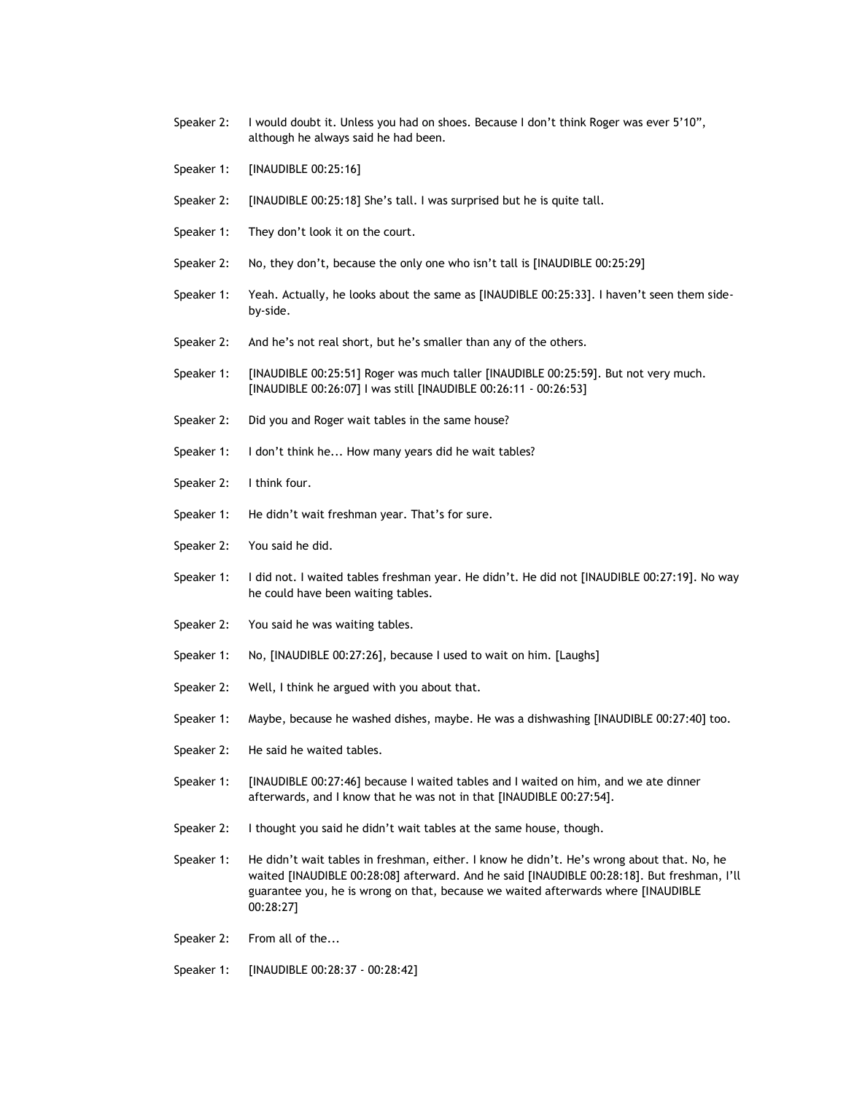- Speaker 2: I would doubt it. Unless you had on shoes. Because I don't think Roger was ever 5'10", although he always said he had been.
- Speaker 1: [INAUDIBLE 00:25:16]
- Speaker 2: [INAUDIBLE 00:25:18] She's tall. I was surprised but he is quite tall.
- Speaker 1: They don't look it on the court.
- Speaker 2: No, they don't, because the only one who isn't tall is [INAUDIBLE 00:25:29]
- Speaker 1: Yeah. Actually, he looks about the same as [INAUDIBLE 00:25:33]. I haven't seen them sideby-side.
- Speaker 2: And he's not real short, but he's smaller than any of the others.
- Speaker 1: [INAUDIBLE 00:25:51] Roger was much taller [INAUDIBLE 00:25:59]. But not very much. [INAUDIBLE 00:26:07] I was still [INAUDIBLE 00:26:11 - 00:26:53]
- Speaker 2: Did you and Roger wait tables in the same house?
- Speaker 1: I don't think he... How many years did he wait tables?
- Speaker 2: I think four.
- Speaker 1: He didn't wait freshman year. That's for sure.
- Speaker 2: You said he did.
- Speaker 1: I did not. I waited tables freshman year. He didn't. He did not [INAUDIBLE 00:27:19]. No way he could have been waiting tables.
- Speaker 2: You said he was waiting tables.
- Speaker 1: No, [INAUDIBLE 00:27:26], because I used to wait on him. [Laughs]
- Speaker 2: Well, I think he argued with you about that.
- Speaker 1: Maybe, because he washed dishes, maybe. He was a dishwashing [INAUDIBLE 00:27:40] too.
- Speaker 2: He said he waited tables.
- Speaker 1: [INAUDIBLE 00:27:46] because I waited tables and I waited on him, and we ate dinner afterwards, and I know that he was not in that [INAUDIBLE 00:27:54].
- Speaker 2: I thought you said he didn't wait tables at the same house, though.
- Speaker 1: He didn't wait tables in freshman, either. I know he didn't. He's wrong about that. No, he waited [INAUDIBLE 00:28:08] afterward. And he said [INAUDIBLE 00:28:18]. But freshman, I'll guarantee you, he is wrong on that, because we waited afterwards where [INAUDIBLE 00:28:27]
- Speaker 2: From all of the...
- Speaker 1: [INAUDIBLE 00:28:37 00:28:42]